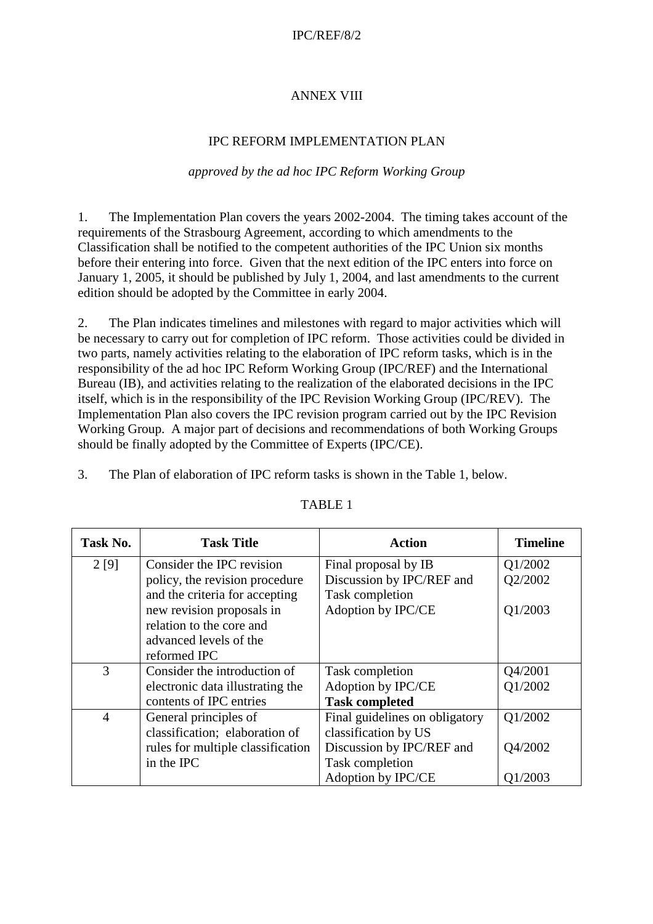#### IPC/REF/8/2

### ANNEX VIII

#### IPC REFORM IMPLEMENTATION PLAN

#### *approved by the ad hoc IPC Reform Working Group*

1. The Implementation Plan covers the years 2002-2004. The timing takes account of the requirements of the Strasbourg Agreement, according to which amendments to the Classification shall be notified to the competent authorities of the IPC Union six months before their entering into force. Given that the next edition of the IPC enters into force on January 1, 2005, it should be published by July 1, 2004, and last amendments to the current edition should be adopted by the Committee in early 2004.

2. The Plan indicates timelines and milestones with regard to major activities which will be necessary to carry out for completion of IPC reform. Those activities could be divided in two parts, namely activities relating to the elaboration of IPC reform tasks, which is in the responsibility of the ad hoc IPC Reform Working Group (IPC/REF) and the International Bureau (IB), and activities relating to the realization of the elaborated decisions in the IPC itself, which is in the responsibility of the IPC Revision Working Group (IPC/REV). The Implementation Plan also covers the IPC revision program carried out by the IPC Revision Working Group. A major part of decisions and recommendations of both Working Groups should be finally adopted by the Committee of Experts (IPC/CE).

3. The Plan of elaboration of IPC reform tasks is shown in the Table 1, below.

| Task No.       | <b>Task Title</b>                 | <b>Action</b>                  | <b>Timeline</b> |
|----------------|-----------------------------------|--------------------------------|-----------------|
| 2 [9]          | Consider the IPC revision         | Final proposal by IB           | Q1/2002         |
|                | policy, the revision procedure    | Discussion by IPC/REF and      | Q2/2002         |
|                | and the criteria for accepting    | Task completion                |                 |
|                | new revision proposals in         | Adoption by IPC/CE             | Q1/2003         |
|                | relation to the core and          |                                |                 |
|                | advanced levels of the            |                                |                 |
|                | reformed IPC                      |                                |                 |
| 3              | Consider the introduction of      | Task completion                | Q4/2001         |
|                | electronic data illustrating the  | Adoption by IPC/CE             | Q1/2002         |
|                | contents of IPC entries           | <b>Task completed</b>          |                 |
| $\overline{4}$ | General principles of             | Final guidelines on obligatory | Q1/2002         |
|                | classification; elaboration of    | classification by US           |                 |
|                | rules for multiple classification | Discussion by IPC/REF and      | Q4/2002         |
|                | in the IPC                        | Task completion                |                 |
|                |                                   | Adoption by IPC/CE             | Q1/2003         |

#### TABLE 1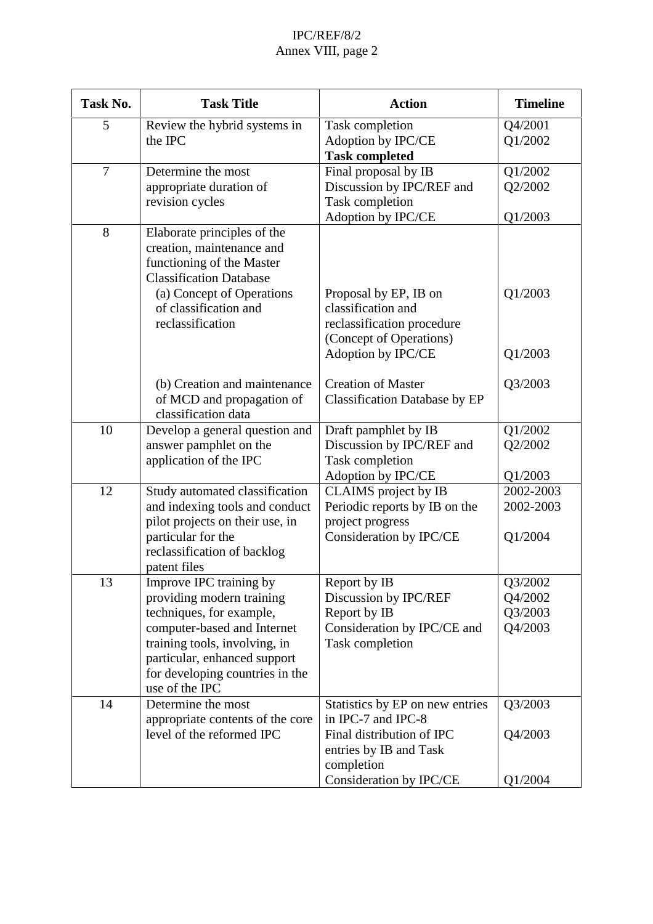## IPC/REF/8/2 Annex VIII, page 2

| Task No.       | <b>Task Title</b>                                                                                                                                                                                                                     | <b>Action</b>                                                                                                              | <b>Timeline</b>                              |
|----------------|---------------------------------------------------------------------------------------------------------------------------------------------------------------------------------------------------------------------------------------|----------------------------------------------------------------------------------------------------------------------------|----------------------------------------------|
| 5              | Review the hybrid systems in<br>the IPC                                                                                                                                                                                               | Task completion<br>Adoption by IPC/CE<br><b>Task completed</b>                                                             | Q4/2001<br>Q1/2002                           |
| $\overline{7}$ | Determine the most<br>appropriate duration of<br>revision cycles                                                                                                                                                                      | Final proposal by IB<br>Discussion by IPC/REF and<br>Task completion<br>Adoption by IPC/CE                                 | Q1/2002<br>Q2/2002<br>Q1/2003                |
| 8              | Elaborate principles of the<br>creation, maintenance and<br>functioning of the Master<br><b>Classification Database</b><br>(a) Concept of Operations<br>of classification and<br>reclassification                                     | Proposal by EP, IB on<br>classification and<br>reclassification procedure<br>(Concept of Operations)<br>Adoption by IPC/CE | Q1/2003<br>Q1/2003                           |
|                | (b) Creation and maintenance<br>of MCD and propagation of<br>classification data                                                                                                                                                      | <b>Creation of Master</b><br><b>Classification Database by EP</b>                                                          | Q3/2003                                      |
| 10             | Develop a general question and<br>answer pamphlet on the<br>application of the IPC                                                                                                                                                    | Draft pamphlet by IB<br>Discussion by IPC/REF and<br>Task completion                                                       | Q1/2002<br>Q2/2002                           |
| 12             | Study automated classification<br>and indexing tools and conduct<br>pilot projects on their use, in<br>particular for the<br>reclassification of backlog<br>patent files                                                              | Adoption by IPC/CE<br>CLAIMS project by IB<br>Periodic reports by IB on the<br>project progress<br>Consideration by IPC/CE | Q1/2003<br>2002-2003<br>2002-2003<br>Q1/2004 |
| 13             | Improve IPC training by<br>providing modern training<br>techniques, for example,<br>computer-based and Internet<br>training tools, involving, in<br>particular, enhanced support<br>for developing countries in the<br>use of the IPC | Report by IB<br>Discussion by IPC/REF<br>Report by IB<br>Consideration by IPC/CE and<br>Task completion                    | Q3/2002<br>Q4/2002<br>Q3/2003<br>Q4/2003     |
| 14             | Determine the most<br>appropriate contents of the core<br>level of the reformed IPC                                                                                                                                                   | Statistics by EP on new entries<br>in IPC-7 and IPC-8<br>Final distribution of IPC<br>entries by IB and Task<br>completion | Q3/2003<br>Q4/2003                           |
|                |                                                                                                                                                                                                                                       | Consideration by IPC/CE                                                                                                    | Q1/2004                                      |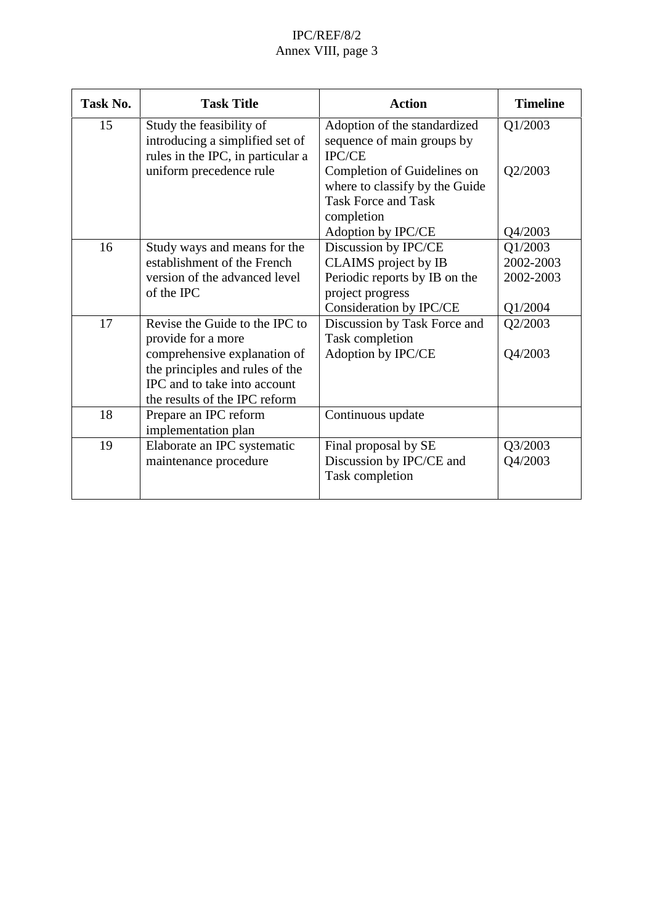## IPC/REF/8/2 Annex VIII, page 3

| Task No. | <b>Task Title</b>                                                                                                                                                                                                                     | <b>Action</b>                                                                                                                                                                                         | <b>Timeline</b>                                                    |
|----------|---------------------------------------------------------------------------------------------------------------------------------------------------------------------------------------------------------------------------------------|-------------------------------------------------------------------------------------------------------------------------------------------------------------------------------------------------------|--------------------------------------------------------------------|
| 15       | Study the feasibility of<br>introducing a simplified set of<br>rules in the IPC, in particular a                                                                                                                                      | Adoption of the standardized<br>sequence of main groups by<br><b>IPC/CE</b>                                                                                                                           | Q1/2003                                                            |
|          | uniform precedence rule                                                                                                                                                                                                               | Completion of Guidelines on<br>where to classify by the Guide<br><b>Task Force and Task</b><br>completion                                                                                             | Q2/2003                                                            |
|          |                                                                                                                                                                                                                                       | Adoption by IPC/CE                                                                                                                                                                                    | Q4/2003                                                            |
| 16<br>17 | Study ways and means for the<br>establishment of the French<br>version of the advanced level<br>of the IPC<br>Revise the Guide to the IPC to<br>provide for a more<br>comprehensive explanation of<br>the principles and rules of the | Discussion by IPC/CE<br>CLAIMS project by IB<br>Periodic reports by IB on the<br>project progress<br>Consideration by IPC/CE<br>Discussion by Task Force and<br>Task completion<br>Adoption by IPC/CE | Q1/2003<br>2002-2003<br>2002-2003<br>Q1/2004<br>Q2/2003<br>Q4/2003 |
|          | IPC and to take into account<br>the results of the IPC reform                                                                                                                                                                         |                                                                                                                                                                                                       |                                                                    |
| 18       | Prepare an IPC reform<br>implementation plan                                                                                                                                                                                          | Continuous update                                                                                                                                                                                     |                                                                    |
| 19       | Elaborate an IPC systematic<br>maintenance procedure                                                                                                                                                                                  | Final proposal by SE<br>Discussion by IPC/CE and<br>Task completion                                                                                                                                   | Q3/2003<br>Q4/2003                                                 |